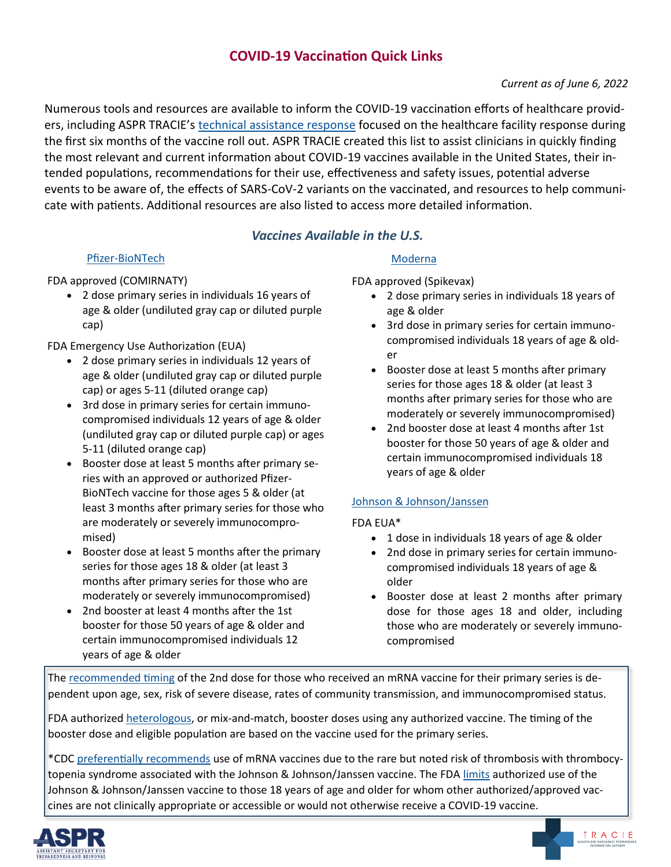# **COVID-19 Vaccination Quick Links**

# *Current as of June 6, 2022*

Numerous tools and resources are available to inform the COVID-19 vaccination efforts of healthcare providers, including ASPR TRACIE's [technical assistance response](https://files.asprtracie.hhs.gov/documents/aspr-tracie-ta---covid-19-vaccine-planning-and-considerations-12.15.20.pdf) focused on the healthcare facility response during the first six months of the vaccine roll out. ASPR TRACIE created this list to assist clinicians in quickly finding the most relevant and current information about COVID-19 vaccines available in the United States, their intended populations, recommendations for their use, effectiveness and safety issues, potential adverse events to be aware of, the effects of SARS-CoV-2 variants on the vaccinated, and resources to help communicate with patients. Additional resources are also listed to access more detailed information.

# *Vaccines Available in the U.S.*

#### Pfizer-[BioNTech](https://www.fda.gov/coronavirus-disease-2019-covid-19/comirnaty-and-pfizer-biontech-covid-19-vaccine)

FDA approved (COMIRNATY)

• 2 dose primary series in individuals 16 years of age & older (undiluted gray cap or diluted purple cap)

FDA Emergency Use Authorization (EUA)

- 2 dose primary series in individuals 12 years of age & older (undiluted gray cap or diluted purple cap) or ages 5-11 (diluted orange cap)
- 3rd dose in primary series for certain immunocompromised individuals 12 years of age & older (undiluted gray cap or diluted purple cap) or ages 5-11 (diluted orange cap)
- Booster dose at least 5 months after primary series with an approved or authorized Pfizer-BioNTech vaccine for those ages 5 & older (at least 3 months after primary series for those who are moderately or severely immunocompromised)
- Booster dose at least 5 months after the primary series for those ages 18 & older (at least 3 months after primary series for those who are moderately or severely immunocompromised)
- 2nd booster at least 4 months after the 1st booster for those 50 years of age & older and certain immunocompromised individuals 12 years of age & older

# [Moderna](https://www.fda.gov/emergency-preparedness-and-response/coronavirus-disease-2019-covid-19/moderna-covid-19-vaccine)

FDA approved (Spikevax)

- 2 dose primary series in individuals 18 years of age & older
- 3rd dose in primary series for certain immunocompromised individuals 18 years of age & older
- Booster dose at least 5 months after primary series for those ages 18 & older (at least 3 months after primary series for those who are moderately or severely immunocompromised)
- 2nd booster dose at least 4 months after 1st booster for those 50 years of age & older and certain immunocompromised individuals 18 years of age & older

# [Johnson & Johnson/Janssen](https://www.fda.gov/emergency-preparedness-and-response/coronavirus-disease-2019-covid-19/janssen-covid-19-vaccine)

FDA EUA\*

- 1 dose in individuals 18 years of age & older
- 2nd dose in primary series for certain immunocompromised individuals 18 years of age & older
- Booster dose at least 2 months after primary dose for those ages 18 and older, including those who are moderately or severely immunocompromised

The [recommended timing](https://www.cdc.gov/coronavirus/2019-ncov/vaccines/stay-up-to-date.html#4) of the 2nd dose for those who received an mRNA vaccine for their primary series is dependent upon age, sex, risk of severe disease, rates of community transmission, and immunocompromised status.

FDA authorized [heterologous,](https://www.cdc.gov/coronavirus/2019-ncov/vaccines/booster-shot.html#choosing-booster) or mix-and-match, booster doses using any authorized vaccine. The timing of the booster dose and eligible population are based on the vaccine used for the primary series.

\*CDC [preferentially recommends](https://www.cdc.gov/coronavirus/2019-ncov/vaccines/different-vaccines/janssen.html) use of mRNA vaccines due to the rare but noted risk of thrombosis with thrombocytopenia syndrome associated with the Johnson & Johnson/Janssen vaccine. The FDA [limits](https://www.fda.gov/news-events/press-announcements/coronavirus-covid-19-update-fda-limits-use-janssen-covid-19-vaccine-certain-individuals) authorized use of the Johnson & Johnson/Janssen vaccine to those 18 years of age and older for whom other authorized/approved vaccines are not clinically appropriate or accessible or would not otherwise receive a COVID-19 vaccine.